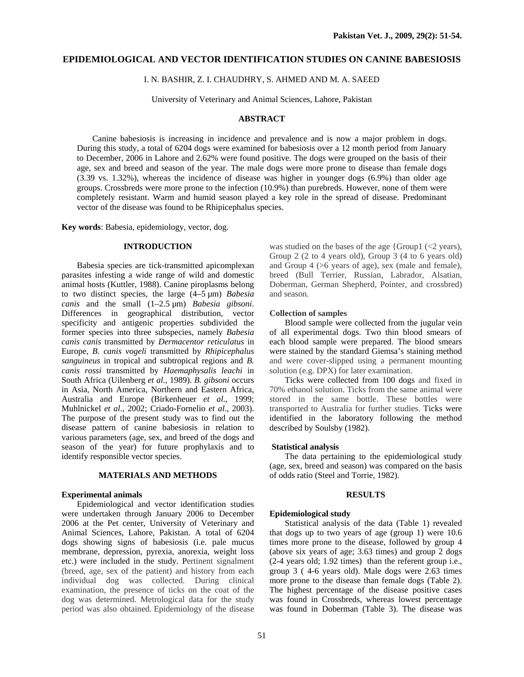## **EPIDEMIOLOGICAL AND VECTOR IDENTIFICATION STUDIES ON CANINE BABESIOSIS**

I. N. BASHIR, Z. I. CHAUDHRY, S. AHMED AND M. A. SAEED

University of Veterinary and Animal Sciences, Lahore, Pakistan

## **ABSTRACT**

Canine babesiosis is increasing in incidence and prevalence and is now a major problem in dogs. During this study, a total of 6204 dogs were examined for babesiosis over a 12 month period from January to December, 2006 in Lahore and 2.62% were found positive. The dogs were grouped on the basis of their age, sex and breed and season of the year. The male dogs were more prone to disease than female dogs (3.39 vs. 1.32%), whereas the incidence of disease was higher in younger dogs (6.9%) than older age groups. Crossbreds were more prone to the infection (10.9%) than purebreds. However, none of them were completely resistant. Warm and humid season played a key role in the spread of disease. Predominant vector of the disease was found to be Rhipicephalus species.

**Key words**: Babesia, epidemiology, vector, dog.

# **INTRODUCTION**

Babesia species are tick-transmitted apicomplexan parasites infesting a wide range of wild and domestic animal hosts (Kuttler, 1988). Canine piroplasms belong to two distinct species, the large (4–5 µm) *Babesia canis* and the small (1–2.5 µm) *Babesia gibsoni*. Differences in geographical distribution, vector specificity and antigenic properties subdivided the former species into three subspecies, namely *Babesia canis canis* transmitted by *Dermacentor reticulatus* in Europe, *B. canis vogeli* transmitted by *Rhipicephalus sanguineus* in tropical and subtropical regions and *B. canis rossi* transmitted by *Haemaphysalis leachi* in South Africa (Uilenberg *et al*., 1989). *B. gibsoni* occurs in Asia, North America, Northern and Eastern Africa, Australia and Europe (Birkenheuer *et al*., 1999; Muhlnickel *et al*., 2002; Criado-Fornelio *et al*., 2003). The purpose of the present study was to find out the disease pattern of canine babesiosis in relation to various parameters (age, sex, and breed of the dogs and season of the year) for future prophylaxis and to identify responsible vector species.

## **MATERIALS AND METHODS**

## **Experimental animals**

Epidemiological and vector identification studies were undertaken through January 2006 to December 2006 at the Pet center, University of Veterinary and Animal Sciences, Lahore, Pakistan. A total of 6204 dogs showing signs of babesiosis (i.e. pale mucus membrane, depression, pyrexia, anorexia, weight loss etc.) were included in the study. Pertinent signalment (breed, age, sex of the patient) and history from each individual dog was collected. During clinical examination, the presence of ticks on the coat of the dog was determined. Metrological data for the study period was also obtained. Epidemiology of the disease

was studied on the bases of the age {Group1  $\ll$  years}, Group 2 (2 to 4 years old), Group 3 (4 to 6 years old) and Group 4 (>6 years of age), sex (male and female), breed (Bull Terrier, Russian, Labrador, Alsatian, Doberman, German Shepherd, Pointer, and crossbred) and season.

#### **Collection of samples**

Blood sample were collected from the jugular vein of all experimental dogs. Two thin blood smears of each blood sample were prepared. The blood smears were stained by the standard Giemsa's staining method and were cover-slipped using a permanent mounting solution (e.g. DPX) for later examination.

Ticks were collected from 100 dogs and fixed in 70% ethanol solution. Ticks from the same animal were stored in the same bottle. These bottles were transported to Australia for further studies. Ticks were identified in the laboratory following the method described by Soulsby (1982).

#### **Statistical analysis**

The data pertaining to the epidemiological study (age, sex, breed and season) was compared on the basis of odds ratio (Steel and Torrie, 1982).

#### **RESULTS**

#### **Epidemiological study**

Statistical analysis of the data (Table 1) revealed that dogs up to two years of age (group 1) were 10.6 times more prone to the disease, followed by group 4 (above six years of age; 3.63 times) and group 2 dogs (2-4 years old; 1.92 times) than the referent group i.e., group 3 ( 4-6 years old). Male dogs were 2.63 times more prone to the disease than female dogs (Table 2). The highest percentage of the disease positive cases was found in Crossbreds, whereas lowest percentage was found in Doberman (Table 3). The disease was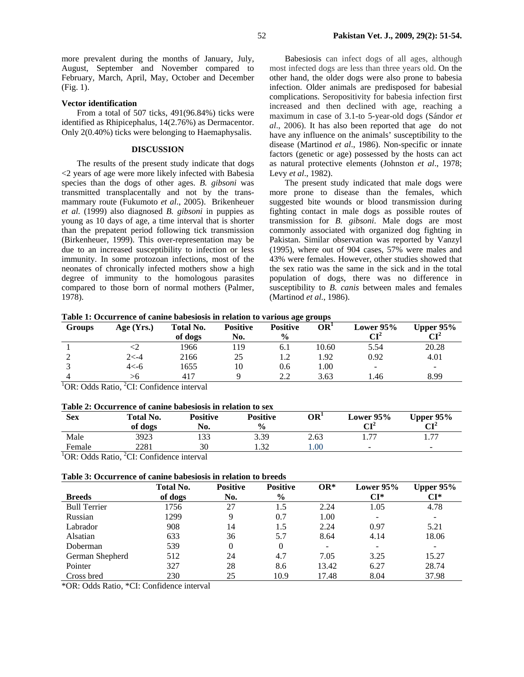more prevalent during the months of January, July, August, September and November compared to February, March, April, May, October and December (Fig. 1).

## **Vector identification**

From a total of 507 ticks, 491(96.84%) ticks were identified as Rhipicephalus, 14(2.76%) as Dermacentor. Only 2(0.40%) ticks were belonging to Haemaphysalis.

#### **DISCUSSION**

The results of the present study indicate that dogs <2 years of age were more likely infected with Babesia species than the dogs of other ages. *B. gibsoni* was transmitted transplacentally and not by the transmammary route (Fukumoto *et al*., 2005). Brikenheuer *et al*. (1999) also diagnosed *B. gibsoni* in puppies as young as 10 days of age, a time interval that is shorter than the prepatent period following tick transmission (Birkenheuer, 1999). This over-representation may be due to an increased susceptibility to infection or less immunity. In some protozoan infections, most of the neonates of chronically infected mothers show a high degree of immunity to the homologous parasites compared to those born of normal mothers (Palmer, 1978).

Babesiosis can infect dogs of all ages, although most infected dogs are less than three years old. On the other hand, the older dogs were also prone to babesia infection. Older animals are predisposed for babesial complications. Seropositivity for babesia infection first increased and then declined with age, reaching a maximum in case of 3.1-to 5-year-old dogs (Sándor *et al*., 2006). It has also been reported that age do not have any influence on the animals' susceptibility to the disease (Martinod *et al*., 1986). Non-specific or innate factors (genetic or age) possessed by the hosts can act as natural protective elements (Johnston *et al*., 1978; Levy *et al*., 1982).

The present study indicated that male dogs were more prone to disease than the females, which suggested bite wounds or blood transmission during fighting contact in male dogs as possible routes of transmission for *B. gibsoni*. Male dogs are most commonly associated with organized dog fighting in Pakistan. Similar observation was reported by Vanzyl (1995), where out of 904 cases, 57% were males and 43% were females. However, other studies showed that the sex ratio was the same in the sick and in the total population of dogs, there was no difference in susceptibility to *B. canis* between males and females (Martinod *et al*., 1986).

**Table 1: Occurrence of canine babesiosis in relation to various age groups** 

| <b>Groups</b> | Age $(Yrs.)$ | <b>Total No.</b><br>of dogs | <b>Positive</b><br>No. | 00<br><b>Positive</b><br>$\frac{0}{0}$ | OR <sup>1</sup> | Lower $95%$<br>$\mathbf{CI}^2$ | Upper $95%$<br>CI <sup>2</sup> |
|---------------|--------------|-----------------------------|------------------------|----------------------------------------|-----------------|--------------------------------|--------------------------------|
|               |              | 1966                        | 119                    | 6.1                                    | 10.60           | 5.54                           | 20.28                          |
|               | $2< -4$      | 2166                        | 25                     | 1.2                                    | 1.92            | 0.92                           | 4.01                           |
|               | $4< -6$      | 1655                        | 10                     | 0.6                                    | 00.1            | $\overline{\phantom{a}}$       |                                |
|               | >6           | 417                         |                        | 2.2                                    | 3.63            | 1.46                           | 8.99                           |

<sup>1</sup>OR: Odds Ratio, <sup>2</sup>CI: Confidence interval

#### **Table 2: Occurrence of canine babesiosis in relation to sex**

| <b>Sex</b>                                                        | Total No. | <b>Positive</b> | <b>Positive</b>  | OR'  | Lower $95%$              | Upper $95\%$                |
|-------------------------------------------------------------------|-----------|-----------------|------------------|------|--------------------------|-----------------------------|
|                                                                   | of dogs   | No.             | $\frac{6}{6}$    |      | $\mathbf{C}\mathbf{I}^2$ | $\mathbf{C}$ $\mathbf{I}^2$ |
| Male                                                              | 3923      | 133             | 3.39             | 2.63 |                          | . 77                        |
| Female                                                            | 2281      | 30              | $\overline{.32}$ | .00. | -                        | -                           |
| <sup>1</sup> OR: Odds Ratio, <sup>2</sup> CI: Confidence interval |           |                 |                  |      |                          |                             |

| Table 3: Occurrence of canine babesiosis in relation to breeds |  |
|----------------------------------------------------------------|--|
|----------------------------------------------------------------|--|

|                     | Total No. | <b>Positive</b> | <b>Positive</b> | $OR^*$                   | Lower $95%$ | <b>Upper 95%</b>         |
|---------------------|-----------|-----------------|-----------------|--------------------------|-------------|--------------------------|
| <b>Breeds</b>       | of dogs   | No.             | $\frac{0}{0}$   |                          | CI*         | CI*                      |
| <b>Bull Terrier</b> | 1756      | 27              | 1.5             | 2.24                     | 1.05        | 4.78                     |
| Russian             | 1299      | 9               | 0.7             | 1.00                     |             | $\overline{\phantom{a}}$ |
| Labrador            | 908       | 14              | 1.5             | 2.24                     | 0.97        | 5.21                     |
| Alsatian            | 633       | 36              | 5.7             | 8.64                     | 4.14        | 18.06                    |
| Doberman            | 539       | 0               | 0               | $\overline{\phantom{a}}$ |             |                          |
| German Shepherd     | 512       | 24              | 4.7             | 7.05                     | 3.25        | 15.27                    |
| Pointer             | 327       | 28              | 8.6             | 13.42                    | 6.27        | 28.74                    |
| Cross bred          | 230       | 25              | 10.9            | 17.48                    | 8.04        | 37.98                    |

\*OR: Odds Ratio, \*CI: Confidence interval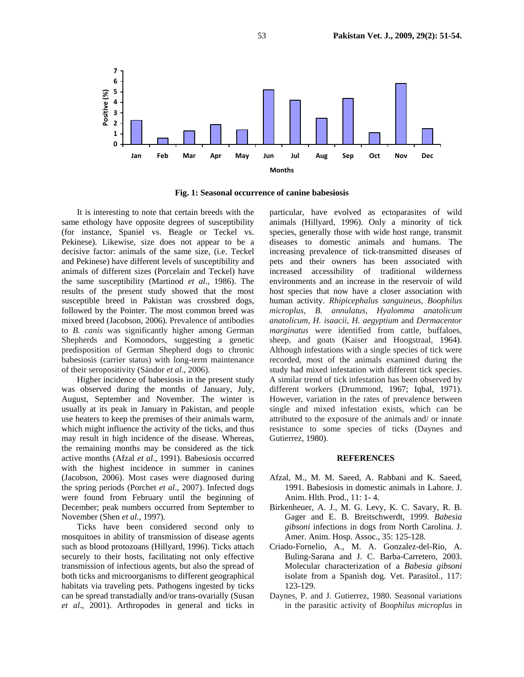

**Fig. 1: Seasonal occurrence of canine babesiosis**

It is interesting to note that certain breeds with the same ethology have opposite degrees of susceptibility (for instance, Spaniel vs. Beagle or Teckel vs. Pekinese). Likewise, size does not appear to be a decisive factor: animals of the same size, (i.e. Teckel and Pekinese) have different levels of susceptibility and animals of different sizes (Porcelain and Teckel) have the same susceptibility (Martinod *et al*., 1986). The results of the present study showed that the most susceptible breed in Pakistan was crossbred dogs, followed by the Pointer. The most common breed was mixed breed (Jacobson, 2006). Prevalence of antibodies to *B. canis* was significantly higher among German Shepherds and Komondors, suggesting a genetic predisposition of German Shepherd dogs to chronic babesiosis (carrier status) with long-term maintenance of their seropositivity (Sándor *et al*., 2006).

Higher incidence of babesiosis in the present study was observed during the months of January, July, August, September and November. The winter is usually at its peak in January in Pakistan, and people use heaters to keep the premises of their animals warm, which might influence the activity of the ticks, and thus may result in high incidence of the disease. Whereas, the remaining months may be considered as the tick active months (Afzal *et al*., 1991). Babesiosis occurred with the highest incidence in summer in canines (Jacobson, 2006). Most cases were diagnosed during the spring periods (Porchet *et al*., 2007). Infected dogs were found from February until the beginning of December; peak numbers occurred from September to November (Shen *et al*., 1997)*.*

Ticks have been considered second only to mosquitoes in ability of transmission of disease agents such as blood protozoans (Hillyard, 1996). Ticks attach securely to their hosts, facilitating not only effective transmission of infectious agents, but also the spread of both ticks and microorganisms to different geographical habitats via traveling pets. Pathogens ingested by ticks can be spread transtadially and/or trans-ovarially (Susan *et al*., 2001). Arthropodes in general and ticks in

particular, have evolved as ectoparasites of wild animals (Hillyard, 1996). Only a minority of tick species, generally those with wide host range, transmit diseases to domestic animals and humans. The increasing prevalence of tick-transmitted diseases of pets and their owners has been associated with increased accessibility of traditional wilderness environments and an increase in the reservoir of wild host species that now have a closer association with human activity. *Rhipicephalus sanguineus, Boophilus microplus, B. annulatus, Hyalomma anatolicum anatolicum, H. isaacii, H. aegyptium* and *Dermacentor marginatus* were identified from cattle, buffaloes, sheep, and goats (Kaiser and Hoogstraal, 1964). Although infestations with a single species of tick were recorded, most of the animals examined during the study had mixed infestation with different tick species. A similar trend of tick infestation has been observed by different workers (Drummond, 1967; Iqbal, 1971). However, variation in the rates of prevalence between single and mixed infestation exists, which can be attributed to the exposure of the animals and/ or innate resistance to some species of ticks (Daynes and Gutierrez, 1980).

#### **REFERENCES**

- Afzal, M., M. M. Saeed, A. Rabbani and K. Saeed, 1991. Babesiosis in domestic animals in Lahore. J. Anim. Hlth. Prod., 11: 1- 4.
- Birkenheuer, A. J., M. G. Levy, K. C. Savary, R. B. Gager and E. B. Breitschwerdt, 1999. *Babesia gibsoni* infections in dogs from North Carolina. J. Amer. Anim. Hosp. Assoc., 35: 125-128.
- Criado-Fornelio, A., M. A. Gonzalez-del-Rio, A. Buling-Sarana and J. C. Barba-Carretero, 2003. Molecular characterization of a *Babesia gibsoni* isolate from a Spanish dog. Vet. Parasitol., 117: 123-129.
- Daynes, P. and J. Gutierrez, 1980. Seasonal variations in the parasitic activity of *Boophilus microplus* in